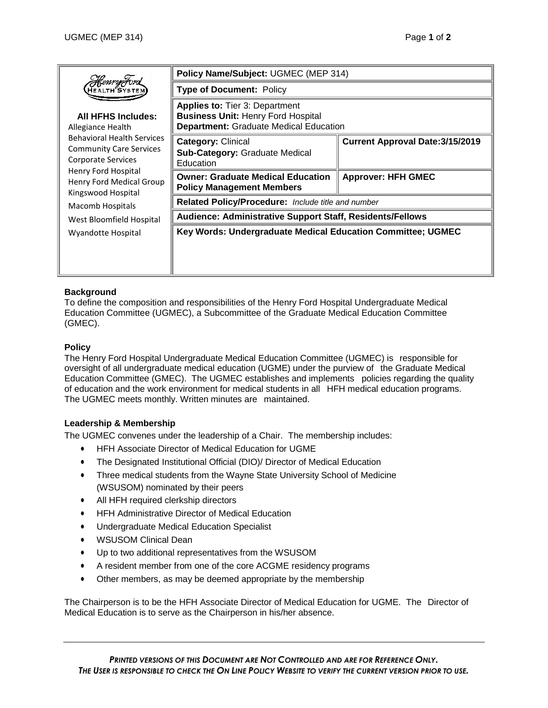|                                                                                                                                                                                                                                          | Policy Name/Subject: UGMEC (MEP 314)                                                                                                |                                         |
|------------------------------------------------------------------------------------------------------------------------------------------------------------------------------------------------------------------------------------------|-------------------------------------------------------------------------------------------------------------------------------------|-----------------------------------------|
| <i>HemryFord</i><br>HEALTH SYSTE!                                                                                                                                                                                                        | <b>Type of Document: Policy</b>                                                                                                     |                                         |
| <b>All HFHS Includes:</b><br>Allegiance Health<br><b>Behavioral Health Services</b><br><b>Community Care Services</b><br>Corporate Services<br>Henry Ford Hospital<br>Henry Ford Medical Group<br>Kingswood Hospital<br>Macomb Hospitals | <b>Applies to:</b> Tier 3: Department<br><b>Business Unit: Henry Ford Hospital</b><br><b>Department: Graduate Medical Education</b> |                                         |
|                                                                                                                                                                                                                                          | <b>Category: Clinical</b><br><b>Sub-Category: Graduate Medical</b><br>Education                                                     | <b>Current Approval Date: 3/15/2019</b> |
|                                                                                                                                                                                                                                          | <b>Owner: Graduate Medical Education</b><br><b>Policy Management Members</b>                                                        | <b>Approver: HFH GMEC</b>               |
|                                                                                                                                                                                                                                          | Related Policy/Procedure: Include title and number                                                                                  |                                         |
| West Bloomfield Hospital                                                                                                                                                                                                                 | Audience: Administrative Support Staff, Residents/Fellows                                                                           |                                         |
| Wyandotte Hospital                                                                                                                                                                                                                       | Key Words: Undergraduate Medical Education Committee; UGMEC                                                                         |                                         |
|                                                                                                                                                                                                                                          |                                                                                                                                     |                                         |

# **Background**

To define the composition and responsibilities of the Henry Ford Hospital Undergraduate Medical Education Committee (UGMEC), a Subcommittee of the Graduate Medical Education Committee (GMEC).

# **Policy**

The Henry Ford Hospital Undergraduate Medical Education Committee (UGMEC) is responsible for oversight of all undergraduate medical education (UGME) under the purview of the Graduate Medical Education Committee (GMEC). The UGMEC establishes and implements policies regarding the quality of education and the work environment for medical students in all HFH medical education programs. The UGMEC meets monthly. Written minutes are maintained.

# **Leadership & Membership**

The UGMEC convenes under the leadership of a Chair. The membership includes:

- HFH Associate Director of Medical Education for UGME
- The Designated Institutional Official (DIO)/ Director of Medical Education
- Three medical students from the Wayne State University School of Medicine (WSUSOM) nominated by their peers
- All HFH required clerkship directors
- HFH Administrative Director of Medical Education
- Undergraduate Medical Education Specialist
- WSUSOM Clinical Dean
- Up to two additional representatives from the WSUSOM
- A resident member from one of the core ACGME residency programs
- Other members, as may be deemed appropriate by the membership

The Chairperson is to be the HFH Associate Director of Medical Education for UGME. The Director of Medical Education is to serve as the Chairperson in his/her absence.